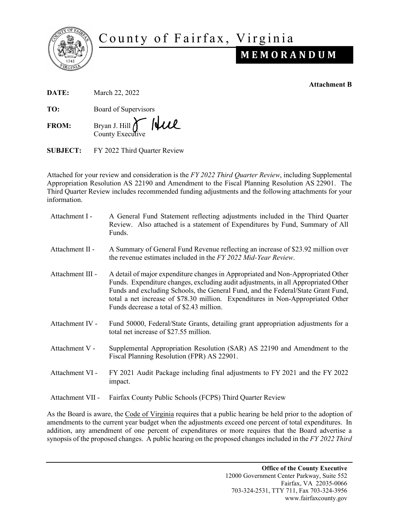

# County of Fairfax, Virginia

# **M E M O R A N D U M**

**Attachment B**

**DATE:** March 22, 2022

Wue **FROM:** Bryan J. Hill County Executive

**SUBJECT:** FY 2022 Third Quarter Review

Attached for your review and consideration is the *FY 2022 Third Quarter Review*, including Supplemental Appropriation Resolution AS 22190 and Amendment to the Fiscal Planning Resolution AS 22901. The Third Quarter Review includes recommended funding adjustments and the following attachments for your information.

| Attachment I -   | A General Fund Statement reflecting adjustments included in the Third Quarter<br>Review. Also attached is a statement of Expenditures by Fund, Summary of All<br>Funds.                                                                                                                                                                                                                    |
|------------------|--------------------------------------------------------------------------------------------------------------------------------------------------------------------------------------------------------------------------------------------------------------------------------------------------------------------------------------------------------------------------------------------|
| Attachment II -  | A Summary of General Fund Revenue reflecting an increase of \$23.92 million over<br>the revenue estimates included in the FY 2022 Mid-Year Review.                                                                                                                                                                                                                                         |
| Attachment III - | A detail of major expenditure changes in Appropriated and Non-Appropriated Other<br>Funds. Expenditure changes, excluding audit adjustments, in all Appropriated Other<br>Funds and excluding Schools, the General Fund, and the Federal/State Grant Fund,<br>total a net increase of \$78.30 million. Expenditures in Non-Appropriated Other<br>Funds decrease a total of \$2.43 million. |
| Attachment IV -  | Fund 50000, Federal/State Grants, detailing grant appropriation adjustments for a<br>total net increase of \$27.55 million.                                                                                                                                                                                                                                                                |
| Attachment V -   | Supplemental Appropriation Resolution (SAR) AS 22190 and Amendment to the<br>Fiscal Planning Resolution (FPR) AS 22901.                                                                                                                                                                                                                                                                    |
| Attachment VI -  | FY 2021 Audit Package including final adjustments to FY 2021 and the FY 2022<br>impact.                                                                                                                                                                                                                                                                                                    |
| Attachment VII - | Fairfax County Public Schools (FCPS) Third Quarter Review                                                                                                                                                                                                                                                                                                                                  |

As the Board is aware, the Code of Virginia requires that a public hearing be held prior to the adoption of amendments to the current year budget when the adjustments exceed one percent of total expenditures. In addition, any amendment of one percent of expenditures or more requires that the Board advertise a synopsis of the proposed changes. A public hearing on the proposed changes included in the *FY 2022 Third*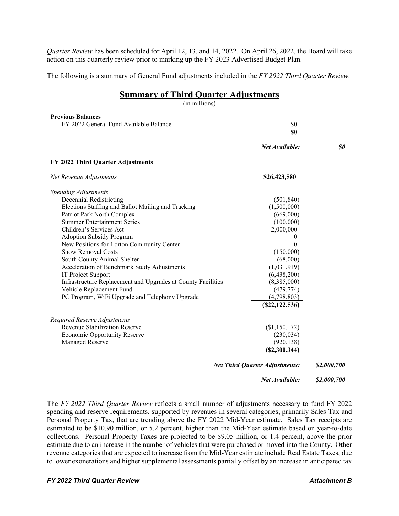*Quarter Review* has been scheduled for April 12, 13, and 14, 2022. On April 26, 2022, the Board will take action on this quarterly review prior to marking up the FY 2023 Advertised Budget Plan.

The following is a summary of General Fund adjustments included in the *FY 2022 Third Quarter Review*.

# **Summary of Third Quarter Adjustments**

(in millions)

| <b>Previous Balances</b>                                     |                                       |                            |
|--------------------------------------------------------------|---------------------------------------|----------------------------|
| FY 2022 General Fund Available Balance                       | \$0                                   |                            |
|                                                              | \$0                                   |                            |
|                                                              | <b>Net Available:</b>                 | $\boldsymbol{\mathit{s0}}$ |
| <b>FY 2022 Third Quarter Adjustments</b>                     |                                       |                            |
| Net Revenue Adjustments                                      | \$26,423,580                          |                            |
| <b>Spending Adjustments</b>                                  |                                       |                            |
| Decennial Redistricting                                      | (501, 840)                            |                            |
| Elections Staffing and Ballot Mailing and Tracking           | (1,500,000)                           |                            |
| Patriot Park North Complex                                   | (669,000)                             |                            |
| <b>Summer Entertainment Series</b>                           | (100,000)                             |                            |
| Children's Services Act                                      | 2,000,000                             |                            |
| <b>Adoption Subsidy Program</b>                              | $\theta$                              |                            |
| New Positions for Lorton Community Center                    | $\Omega$                              |                            |
| <b>Snow Removal Costs</b>                                    | (150,000)                             |                            |
| South County Animal Shelter                                  | (68,000)                              |                            |
| Acceleration of Benchmark Study Adjustments                  | (1,031,919)                           |                            |
| IT Project Support                                           | (6,438,200)                           |                            |
| Infrastructure Replacement and Upgrades at County Facilities | (8,385,000)                           |                            |
| Vehicle Replacement Fund                                     | (479, 774)                            |                            |
| PC Program, WiFi Upgrade and Telephony Upgrade               | (4,798,803)                           |                            |
|                                                              | (\$22,122,536)                        |                            |
| Required Reserve Adjustments                                 |                                       |                            |
| <b>Revenue Stabilization Reserve</b>                         | (\$1,150,172)                         |                            |
| <b>Economic Opportunity Reserve</b>                          | (230, 034)                            |                            |
| Managed Reserve                                              | (920, 138)                            |                            |
|                                                              | (S2, 300, 344)                        |                            |
|                                                              | <b>Net Third Quarter Adjustments:</b> | \$2,000,700                |
|                                                              | <b>Net Available:</b>                 | \$2,000,700                |

The *FY 2022 Third Quarter Review* reflects a small number of adjustments necessary to fund FY 2022 spending and reserve requirements, supported by revenues in several categories, primarily Sales Tax and Personal Property Tax, that are trending above the FY 2022 Mid-Year estimate. Sales Tax receipts are estimated to be \$10.90 million, or 5.2 percent, higher than the Mid-Year estimate based on year-to-date collections. Personal Property Taxes are projected to be \$9.05 million, or 1.4 percent, above the prior estimate due to an increase in the number of vehicles that were purchased or moved into the County. Other revenue categories that are expected to increase from the Mid-Year estimate include Real Estate Taxes, due to lower exonerations and higher supplemental assessments partially offset by an increase in anticipated tax

*FY 2022 Third Quarter Review Attachment B*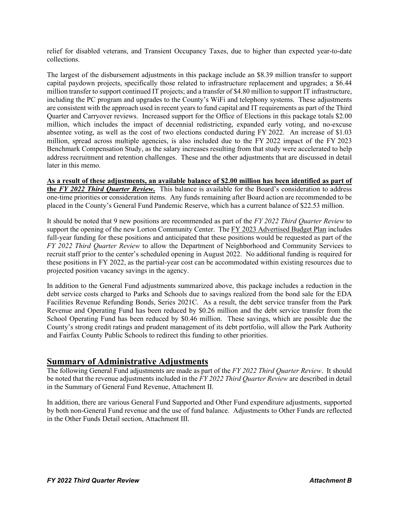relief for disabled veterans, and Transient Occupancy Taxes, due to higher than expected year-to-date collections.

The largest of the disbursement adjustments in this package include an \$8.39 million transfer to support capital paydown projects, specifically those related to infrastructure replacement and upgrades; a \$6.44 million transfer to support continued IT projects; and a transfer of \$4.80 million to support IT infrastructure, including the PC program and upgrades to the County's WiFi and telephony systems. These adjustments are consistent with the approach used in recent years to fund capital and IT requirements as part of the Third Quarter and Carryover reviews. Increased support for the Office of Elections in this package totals \$2.00 million, which includes the impact of decennial redistricting, expanded early voting, and no-excuse absentee voting, as well as the cost of two elections conducted during FY 2022. An increase of \$1.03 million, spread across multiple agencies, is also included due to the FY 2022 impact of the FY 2023 Benchmark Compensation Study, as the salary increases resulting from that study were accelerated to help address recruitment and retention challenges. These and the other adjustments that are discussed in detail later in this memo.

**As a result of these adjustments, an available balance of \$2.00 million has been identified as part of the** *FY 2022 Third Quarter Review***.** This balance is available for the Board's consideration to address one-time priorities or consideration items. Any funds remaining after Board action are recommended to be placed in the County's General Fund Pandemic Reserve, which has a current balance of \$22.53 million.

It should be noted that 9 new positions are recommended as part of the *FY 2022 Third Quarter Review* to support the opening of the new Lorton Community Center. The FY 2023 Advertised Budget Plan includes full-year funding for these positions and anticipated that these positions would be requested as part of the *FY 2022 Third Quarter Review* to allow the Department of Neighborhood and Community Services to recruit staff prior to the center's scheduled opening in August 2022. No additional funding is required for these positions in FY 2022, as the partial-year cost can be accommodated within existing resources due to projected position vacancy savings in the agency.

In addition to the General Fund adjustments summarized above, this package includes a reduction in the debt service costs charged to Parks and Schools due to savings realized from the bond sale for the EDA Facilities Revenue Refunding Bonds, Series 2021C. As a result, the debt service transfer from the Park Revenue and Operating Fund has been reduced by \$0.26 million and the debt service transfer from the School Operating Fund has been reduced by \$0.46 million. These savings, which are possible due the County's strong credit ratings and prudent management of its debt portfolio, will allow the Park Authority and Fairfax County Public Schools to redirect this funding to other priorities.

# **Summary of Administrative Adjustments**

The following General Fund adjustments are made as part of the *FY 2022 Third Quarter Review*. It should be noted that the revenue adjustments included in the *FY 2022 Third Quarter Review* are described in detail in the Summary of General Fund Revenue, Attachment II.

In addition, there are various General Fund Supported and Other Fund expenditure adjustments, supported by both non-General Fund revenue and the use of fund balance. Adjustments to Other Funds are reflected in the Other Funds Detail section, Attachment III.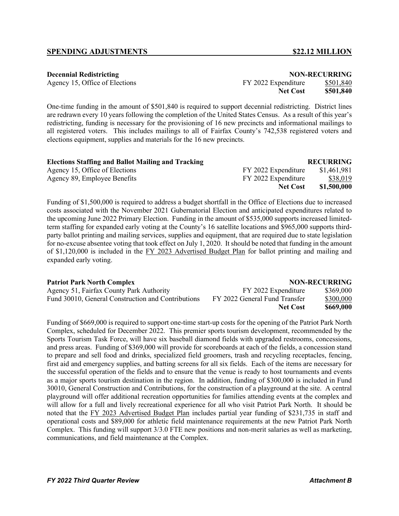## **SPENDING ADJUSTMENTS \$22.12 MILLION**

**Net Cost \$501,840**

**Decennial Redistricting**   $NON-RECURING$ 

Agency 15, Office of Elections FY 2022 Expenditure \$501,840

One-time funding in the amount of \$501,840 is required to support decennial redistricting. District lines are redrawn every 10 years following the completion of the United States Census. As a result of this year's redistricting, funding is necessary for the provisioning of 16 new precincts and informational mailings to all registered voters. This includes mailings to all of Fairfax County's 742,538 registered voters and elections equipment, supplies and materials for the 16 new precincts.

| <b>Elections Staffing and Ballot Mailing and Tracking</b> |                     | <b>RECURRING</b> |
|-----------------------------------------------------------|---------------------|------------------|
| Agency 15, Office of Elections                            | FY 2022 Expenditure | \$1,461,981      |
| Agency 89, Employee Benefits                              | FY 2022 Expenditure | \$38,019         |
|                                                           | <b>Net Cost</b>     | \$1,500,000      |

Funding of \$1,500,000 is required to address a budget shortfall in the Office of Elections due to increased costs associated with the November 2021 Gubernatorial Election and anticipated expenditures related to the upcoming June 2022 Primary Election. Funding in the amount of \$535,000 supports increased limitedterm staffing for expanded early voting at the County's 16 satellite locations and \$965,000 supports thirdparty ballot printing and mailing services, supplies and equipment, that are required due to state legislation for no-excuse absentee voting that took effect on July 1, 2020. It should be noted that funding in the amount of \$1,120,000 is included in the FY 2023 Advertised Budget Plan for ballot printing and mailing and expanded early voting.

| <b>Patriot Park North Complex</b>                  |                               | <b>NON-RECURRING</b> |
|----------------------------------------------------|-------------------------------|----------------------|
| Agency 51, Fairfax County Park Authority           | FY 2022 Expenditure           | \$369,000            |
| Fund 30010, General Construction and Contributions | FY 2022 General Fund Transfer | \$300,000            |
|                                                    | <b>Net Cost</b>               | \$669,000            |

Funding of \$669,000 is required to support one-time start-up costs for the opening of the Patriot Park North Complex, scheduled for December 2022. This premier sports tourism development, recommended by the Sports Tourism Task Force, will have six baseball diamond fields with upgraded restrooms, concessions, and press areas. Funding of \$369,000 will provide for scoreboards at each of the fields, a concession stand to prepare and sell food and drinks, specialized field groomers, trash and recycling receptacles, fencing, first aid and emergency supplies, and batting screens for all six fields. Each of the items are necessary for the successful operation of the fields and to ensure that the venue is ready to host tournaments and events as a major sports tourism destination in the region. In addition, funding of \$300,000 is included in Fund 30010, General Construction and Contributions, for the construction of a playground at the site. A central playground will offer additional recreation opportunities for families attending events at the complex and will allow for a full and lively recreational experience for all who visit Patriot Park North. It should be noted that the FY 2023 Advertised Budget Plan includes partial year funding of \$231,735 in staff and operational costs and \$89,000 for athletic field maintenance requirements at the new Patriot Park North Complex. This funding will support 3/3.0 FTE new positions and non-merit salaries as well as marketing, communications, and field maintenance at the Complex.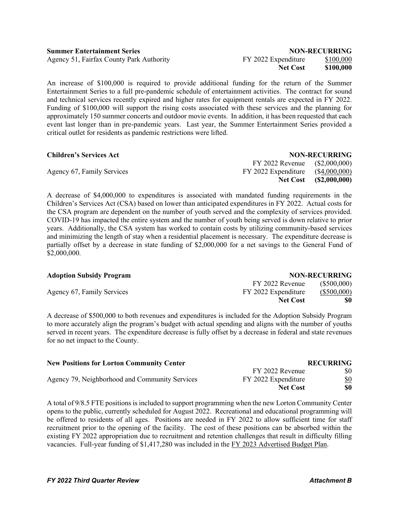An increase of \$100,000 is required to provide additional funding for the return of the Summer Entertainment Series to a full pre-pandemic schedule of entertainment activities. The contract for sound and technical services recently expired and higher rates for equipment rentals are expected in FY 2022. Funding of \$100,000 will support the rising costs associated with these services and the planning for approximately 150 summer concerts and outdoor movie events. In addition, it has been requested that each event last longer than in pre-pandemic years. Last year, the Summer Entertainment Series provided a critical outlet for residents as pandemic restrictions were lifted.

| <b>Children's Services Act</b> |                                   | <b>NON-RECURRING</b>   |
|--------------------------------|-----------------------------------|------------------------|
|                                | FY 2022 Revenue (\$2,000,000)     |                        |
| Agency 67, Family Services     | FY 2022 Expenditure (\$4,000,000) |                        |
|                                |                                   | Net Cost (\$2,000,000) |

A decrease of \$4,000,000 to expenditures is associated with mandated funding requirements in the Children's Services Act (CSA) based on lower than anticipated expenditures in FY 2022. Actual costs for the CSA program are dependent on the number of youth served and the complexity of services provided. COVID-19 has impacted the entire system and the number of youth being served is down relative to prior years. Additionally, the CSA system has worked to contain costs by utilizing community-based services and minimizing the length of stay when a residential placement is necessary. The expenditure decrease is partially offset by a decrease in state funding of \$2,000,000 for a net savings to the General Fund of \$2,000,000.

| <b>Adoption Subsidy Program</b> |                     | <b>NON-RECURRING</b> |
|---------------------------------|---------------------|----------------------|
|                                 | FY 2022 Revenue     | (\$500,000)          |
| Agency 67, Family Services      | FY 2022 Expenditure | $(\$500,000)$        |
|                                 | <b>Net Cost</b>     | \$0                  |

A decrease of \$500,000 to both revenues and expenditures is included for the Adoption Subsidy Program to more accurately align the program's budget with actual spending and aligns with the number of youths served in recent years. The expenditure decrease is fully offset by a decrease in federal and state revenues for no net impact to the County.

| <b>New Positions for Lorton Community Center</b> | <b>RECURRING</b>    |     |  |
|--------------------------------------------------|---------------------|-----|--|
|                                                  | FY 2022 Revenue     | \$0 |  |
| Agency 79, Neighborhood and Community Services   | FY 2022 Expenditure | \$0 |  |
|                                                  | <b>Net Cost</b>     | \$0 |  |

A total of 9/8.5 FTE positions is included to support programming when the new Lorton Community Center opens to the public, currently scheduled for August 2022. Recreational and educational programming will be offered to residents of all ages. Positions are needed in FY 2022 to allow sufficient time for staff recruitment prior to the opening of the facility. The cost of these positions can be absorbed within the existing FY 2022 appropriation due to recruitment and retention challenges that result in difficulty filling vacancies. Full-year funding of \$1,417,280 was included in the FY 2023 Advertised Budget Plan.

## **Summer Entertainment Series**<br>
Agency 51, Fairfax County Park Authority<br>
FY 2022 Expenditure \$100,000 Agency 51, Fairfax County Park Authority FY 2022 Expenditure \$100,000 **Net Cost \$100,000**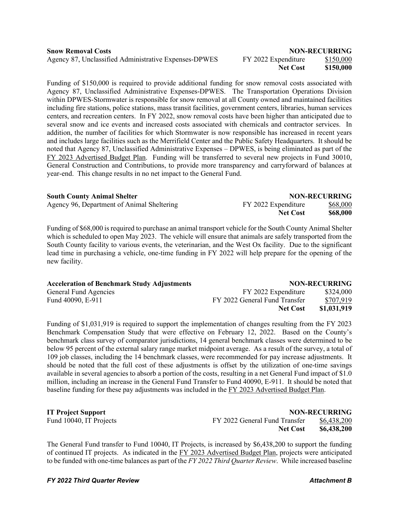Agency 87, Unclassified Administrative Expenses-DPWES FY 2022 Expenditure \$150,000

# **Snow Removal Costs**<br> **Agency 87, Unclassified Administrative Expenses-DPWES** FY 2022 Expenditure \$150,000 **Net Cost \$150,000**

Funding of \$150,000 is required to provide additional funding for snow removal costs associated with Agency 87, Unclassified Administrative Expenses-DPWES. The Transportation Operations Division within DPWES-Stormwater is responsible for snow removal at all County owned and maintained facilities including fire stations, police stations, mass transit facilities, government centers, libraries, human services centers, and recreation centers. In FY 2022, snow removal costs have been higher than anticipated due to several snow and ice events and increased costs associated with chemicals and contractor services. In addition, the number of facilities for which Stormwater is now responsible has increased in recent years and includes large facilities such as the Merrifield Center and the Public Safety Headquarters. It should be noted that Agency 87, Unclassified Administrative Expenses – DPWES, is being eliminated as part of the FY 2023 Advertised Budget Plan. Funding will be transferred to several new projects in Fund 30010, General Construction and Contributions, to provide more transparency and carryforward of balances at year-end. This change results in no net impact to the General Fund.

| <b>South County Animal Shelter</b>         |                     | <b>NON-RECURRING</b> |
|--------------------------------------------|---------------------|----------------------|
| Agency 96, Department of Animal Sheltering | FY 2022 Expenditure | \$68,000             |
|                                            | <b>Net Cost</b>     | \$68,000             |

Funding of \$68,000 is required to purchase an animal transport vehicle for the South County Animal Shelter which is scheduled to open May 2023. The vehicle will ensure that animals are safely transported from the South County facility to various events, the veterinarian, and the West Ox facility. Due to the significant lead time in purchasing a vehicle, one-time funding in FY 2022 will help prepare for the opening of the new facility.

| <b>Acceleration of Benchmark Study Adjustments</b> |                               | <b>NON-RECURRING</b> |
|----------------------------------------------------|-------------------------------|----------------------|
| General Fund Agencies                              | FY 2022 Expenditure           | \$324,000            |
| Fund 40090, E-911                                  | FY 2022 General Fund Transfer | \$707.919            |
|                                                    | <b>Net Cost</b>               | \$1,031,919          |

Funding of \$1,031,919 is required to support the implementation of changes resulting from the FY 2023 Benchmark Compensation Study that were effective on February 12, 2022. Based on the County's benchmark class survey of comparator jurisdictions, 14 general benchmark classes were determined to be below 95 percent of the external salary range market midpoint average. As a result of the survey, a total of 109 job classes, including the 14 benchmark classes, were recommended for pay increase adjustments. It should be noted that the full cost of these adjustments is offset by the utilization of one-time savings available in several agencies to absorb a portion of the costs, resulting in a net General Fund impact of \$1.0 million, including an increase in the General Fund Transfer to Fund 40090, E-911. It should be noted that baseline funding for these pay adjustments was included in the FY 2023 Advertised Budget Plan.

**IT Project Support NON-RECURRING** Fund 10040, IT Projects FY 2022 General Fund Transfer \$6,438,200 **Net Cost \$6,438,200**

The General Fund transfer to Fund 10040, IT Projects, is increased by \$6,438,200 to support the funding of continued IT projects. As indicated in the FY 2023 Advertised Budget Plan, projects were anticipated to be funded with one-time balances as part of the *FY 2022 Third Quarter Review*. While increased baseline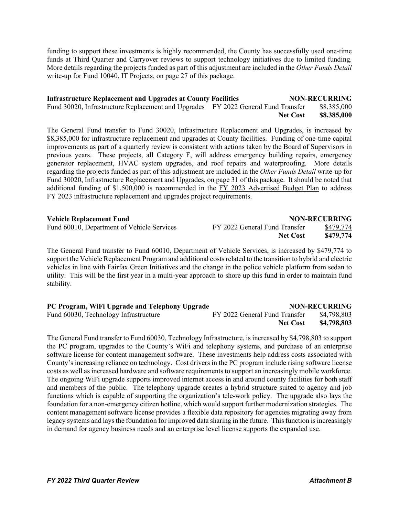funding to support these investments is highly recommended, the County has successfully used one-time funds at Third Quarter and Carryover reviews to support technology initiatives due to limited funding. More details regarding the projects funded as part of this adjustment are included in the *Other Funds Detail* write-up for Fund 10040, IT Projects, on page 27 of this package.

| <b>Infrastructure Replacement and Upgrades at County Facilities</b>               |                 | <b>NON-RECURRING</b> |
|-----------------------------------------------------------------------------------|-----------------|----------------------|
| Fund 30020, Infrastructure Replacement and Upgrades FY 2022 General Fund Transfer |                 | \$8,385,000          |
|                                                                                   | <b>Net Cost</b> | \$8,385,000          |

The General Fund transfer to Fund 30020, Infrastructure Replacement and Upgrades, is increased by \$8,385,000 for infrastructure replacement and upgrades at County facilities. Funding of one-time capital improvements as part of a quarterly review is consistent with actions taken by the Board of Supervisors in previous years. These projects, all Category F, will address emergency building repairs, emergency generator replacement, HVAC system upgrades, and roof repairs and waterproofing. More details regarding the projects funded as part of this adjustment are included in the *Other Funds Detail* write-up for Fund 30020, Infrastructure Replacement and Upgrades, on page 31 of this package. It should be noted that additional funding of \$1,500,000 is recommended in the FY 2023 Advertised Budget Plan to address FY 2023 infrastructure replacement and upgrades project requirements.

| <b>Vehicle Replacement Fund</b>            |                               | <b>NON-RECURRING</b> |
|--------------------------------------------|-------------------------------|----------------------|
| Fund 60010, Department of Vehicle Services | FY 2022 General Fund Transfer | \$479,774            |
|                                            | <b>Net Cost</b>               | \$479,774            |

The General Fund transfer to Fund 60010, Department of Vehicle Services, is increased by \$479,774 to support the Vehicle Replacement Program and additional costs related to the transition to hybrid and electric vehicles in line with Fairfax Green Initiatives and the change in the police vehicle platform from sedan to utility. This will be the first year in a multi-year approach to shore up this fund in order to maintain fund stability.

| PC Program, WiFi Upgrade and Telephony Upgrade |                               | <b>NON-RECURRING</b> |
|------------------------------------------------|-------------------------------|----------------------|
| Fund 60030, Technology Infrastructure          | FY 2022 General Fund Transfer | \$4,798,803          |
|                                                | <b>Net Cost</b>               | \$4,798,803          |

The General Fund transfer to Fund 60030, Technology Infrastructure, is increased by \$4,798,803 to support the PC program, upgrades to the County's WiFi and telephony systems, and purchase of an enterprise software license for content management software. These investments help address costs associated with County's increasing reliance on technology. Cost drivers in the PC program include rising software license costs as well as increased hardware and software requirements to support an increasingly mobile workforce. The ongoing WiFi upgrade supports improved internet access in and around county facilities for both staff and members of the public. The telephony upgrade creates a hybrid structure suited to agency and job functions which is capable of supporting the organization's tele-work policy. The upgrade also lays the foundation for a non-emergency citizen hotline, which would support further modernization strategies. The content management software license provides a flexible data repository for agencies migrating away from legacy systems and lays the foundation for improved data sharing in the future. This function is increasingly in demand for agency business needs and an enterprise level license supports the expanded use.